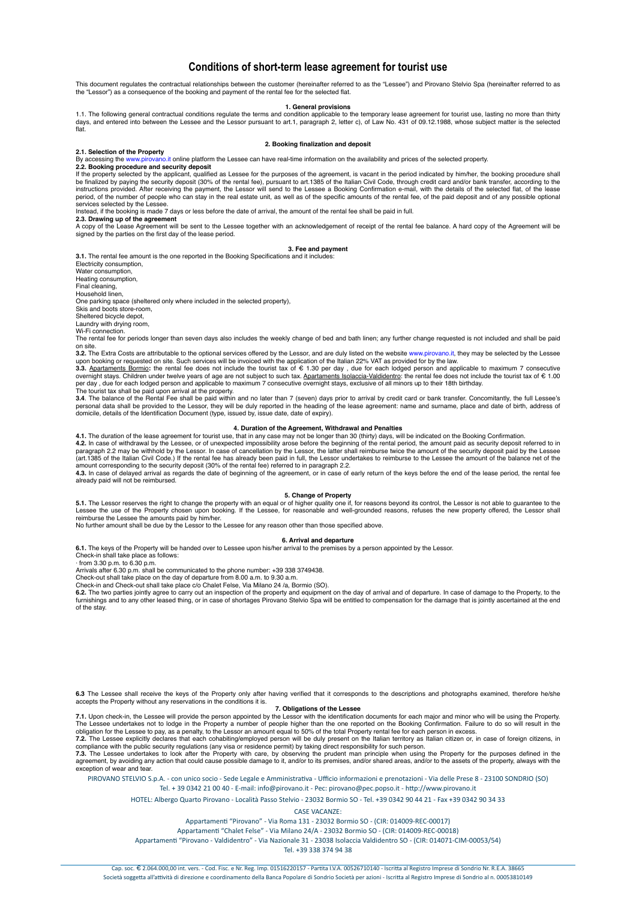# **Conditions of short-term lease agreement for tourist use**

This document regulates the contractual relationships between the customer (hereinafter referred to as the "Lessee") and Pirovano Stelvio Spa (hereinafter referred to as the "Lessor") as a consequence of the booking and payment of the rental fee for the selected flat.

1. The following general contractual conditions regulate the terms and condition applicable to the temporary lease agreement for tourist use, lasting no more than thirty days, and entered into between the Lessee and the Lessor pursuant to art.1, paragraph 2, letter c), of Law No. 431 of 09.12.1988, whose subject matter is the selected flat.

## **2. Booking finalization and deposit**

**2.1. Selection of the Property** By accessing the www.pirovano.it online platform the Lessee can have real-time information on the availability and prices of the selected property.

# **2.2. Booking procedure and security deposit**

If the property selected by the applicant, qualified as Lessee for the purposes of the agreement, is vacant in the period indicated by him/her, the booking procedure shall be finalized by paying the security deposit (30% of the rental fee), pursuant to art.1385 of the Italian Civil Code, through credit card and/or bank transfer, according to the<br>instructions provided. After receiving the pay period, of the number of people who can stay in the real estate unit, as well as of the specific amounts of the rental fee, of the paid deposit and of any possible optional services selected by the Lessee.

Instead, if the booking is made 7 days or less before the date of arrival, the amount of the rental fee shall be paid in full. **2.3. Drawing up of the agreement**

A copy of the Lease Agreement will be sent to the Lessee together with an acknowledgement of receipt of the rental fee balance. A hard copy of the Agreement will be<br>signed by the parties on the first day of the lease perio

# **3. Fee and payment**

**3.1.** The rental fee amount is the one reported in the Booking Specifications and it includes

Electricity consumption, Water consumption

Heating consumption, Final cleaning,

Household linen,

One parking space (sheltered only where included in the selected property),

Skis and boots store-room,

Sheltered bicycle depot,

Laundry with drying room,

Wi-Fi connection

The rental fee for periods longer than seven days also includes the weekly change of bed and bath linen; any further change requested is not included and shall be paid on site.

**3.2.** The Extra Costs are attributable to the optional services offered by the Lessor, and are duly listed on the website www.pirovano.it, they may be selected by the Lessee upon booking or requested on site. Such services will be invoiced with the application of the Italian 22% VAT as provided for by the law.<br>**3.3.** Apartaments Bormio: the rental fee does not include the tourist tax of € 1.3

overnight stays. Children under twelve years of age are not subject to such tax. <u>Apartaments Isolaccia-Valdidentro</u>: the rental fee does not include the tourist tax of € 1.00<br>per day , due for each lodged person and appl The tourist tax shall be paid upon arrival at the property.

3.4. The balance of the Rental Fee shall be paid within and no later than 7 (seven) days prior to arrival by credit card or bank transfer. Concomitantly, the full Lessee's<br>personal data shall be provided to the Lessor, the

# **4. Duration of the Agreement, Withdrawal and Penalties**

4.1. The duration of the lease agreement for tourist use, that in any case may not be longer than 30 (thirty) days, will be indicated on the Booking Confirmation.<br>4.2. In case of withdrawal by the Lessee, or of unexpected paragraph 2.2 may be withhold by the Lessor. In case of cancellation by the Lessor, the latter shall reimburse twice the amount of the security deposit paid by the Lessee<br>(art.1385 of the Italian Civil Code.) If the rental

amount corresponding to the security deposit (30% of the rental fee) referred to in paragraph 2.2.<br>4.3. In case of delayed arrival as regards the date of beginning of the agreement, or in case of early return of the keys b

**5. Change of Property**<br>**5.1.** The Lessor reserves the right to change the property with an equal or of higher quality one if, for reasons beyond its control, the Lessor is not able to guarantee to the Lessee the use of the Property chosen upon booking. If the Lessee, for reasonable and well-grounded reasons, refuses the new property offered, the Lessor shall<br>reimburse the Lessee the amounts paid by him/her.<br>No further a

### **6. Arrival and departure**

**6.1.** The keys of the Property will be handed over to Lessee upon his/her arrival to the premises by a person appointed by the Lessor.

Check-in shall take place as follows:

· from 3.30 p.m. to 6.30 p.m. Arrivals after 6.30 p.m. shall be communicated to the phone number: +39 338 3749438.

Check-out shall take place on the day of departure from 8.00 a.m. to 9.30 a.m. Check-in and Check-out shall take place c/o Chalet Felse, Via Milano 24 /a, Bormio (SO).

**6.2.** The two parties jointly agree to carry out an inspection of the property and equipment on the day of arrival and of departure. In case of damage to the Property, to the<br>furnishings and to any other leased thing, or of the stay.

**6.3** The Lessee shall receive the keys of the Property only after having verified that it corresponds to the descriptions and photographs examined, therefore he/she accepts the Property without any reservations in the conditions it is.

**7. Obligations of the Lessee**

**7.1.** Upon check-in, the Lessee will provide the person appointed by the Lessor with the identification documents for each major and minor who will be using the Property. The Lessee undertakes not to lodge in the Property a number of people higher than the one reported on the Booking Confirmation. Failure to do so will result in the<br>obligation for the Lessee to pay, as a penalty, to the Les

**7.2.** The Lessee explicitly declares that each cohabiting/employed person will be duly present on the Italian territory as Italian citizen or, in case of foreign citizens, in<br>compliance with the public security regulation **7.3.** The Lessee undertakes to look after the Property with care, by observing the prudent man principle when using the Property for the purposes defined in the

agreement, by avoiding any action that could cause possible damage to it, and/or to its premises, and/or shared areas, and/or to the assets of the property, always with the exception of wear and tea

PIROVANO STELVIO S.p.A. - con unico socio - Sede Legale e Amministrativa - Ufficio informazioni e prenotazioni - Via delle Prese 8 - 23100 SONDRIO (SO) Tel. + 39 0342 21 00 40 - E-mail: info@pirovano.it - Pec: pirovano@pec.popso.it - http://www.pirovano.it

HOTEL: Albergo Quarto Pirovano - Località Passo Stelvio - 23032 Bormio SO - Tel. +39 0342 90 44 21 - Fax +39 0342 90 34 33

CASE VACANZE:

Appartamen> "Pirovano" - Via Roma 131 - 23032 Bormio SO - (CIR: 014009-REC-00017)

Appartamenti "Chalet Felse" - Via Milano 24/A - 23032 Bormio SO - (CIR: 014009-REC-00018)

Appartamenti "Pirovano - Valdidentro" - Via Nazionale 31 - 23038 Isolaccia Valdidentro SO - (CIR: 014071-CIM-00053/54)

Tel. +39 338 374 94 38